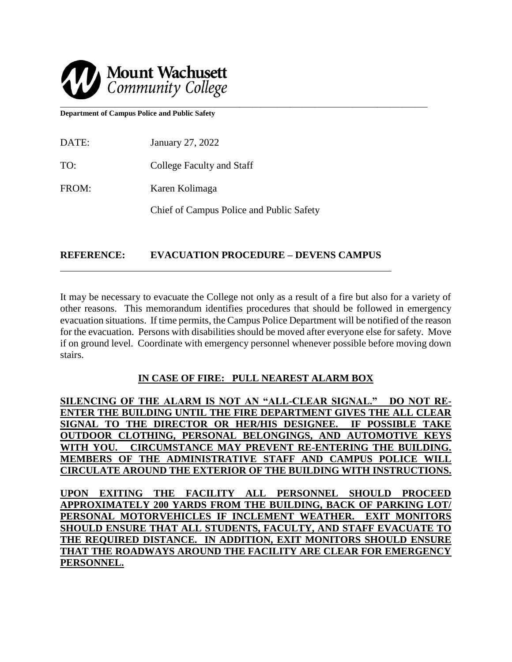

**Department of Campus Police and Public Safety** 

| DATE: | January 27, 2022          |
|-------|---------------------------|
| TO:   | College Faculty and Staff |
| FROM: | Karen Kolimaga            |

Chief of Campus Police and Public Safety

## **REFERENCE: EVACUATION PROCEDURE – DEVENS CAMPUS**

It may be necessary to evacuate the College not only as a result of a fire but also for a variety of other reasons. This memorandum identifies procedures that should be followed in emergency evacuation situations. If time permits, the Campus Police Department will be notified of the reason for the evacuation. Persons with disabilities should be moved after everyone else for safety. Move if on ground level. Coordinate with emergency personnel whenever possible before moving down stairs.

l,

### **IN CASE OF FIRE: PULL NEAREST ALARM BOX**

**SILENCING OF THE ALARM IS NOT AN "ALL-CLEAR SIGNAL." DO NOT RE-ENTER THE BUILDING UNTIL THE FIRE DEPARTMENT GIVES THE ALL CLEAR SIGNAL TO THE DIRECTOR OR HER/HIS DESIGNEE. IF POSSIBLE TAKE OUTDOOR CLOTHING, PERSONAL BELONGINGS, AND AUTOMOTIVE KEYS WITH YOU. CIRCUMSTANCE MAY PREVENT RE-ENTERING THE BUILDING. MEMBERS OF THE ADMINISTRATIVE STAFF AND CAMPUS POLICE WILL CIRCULATE AROUND THE EXTERIOR OF THE BUILDING WITH INSTRUCTIONS.**

**UPON EXITING THE FACILITY ALL PERSONNEL SHOULD PROCEED APPROXIMATELY 200 YARDS FROM THE BUILDING, BACK OF PARKING LOT/ PERSONAL MOTORVEHICLES IF INCLEMENT WEATHER. EXIT MONITORS SHOULD ENSURE THAT ALL STUDENTS, FACULTY, AND STAFF EVACUATE TO THE REQUIRED DISTANCE. IN ADDITION, EXIT MONITORS SHOULD ENSURE THAT THE ROADWAYS AROUND THE FACILITY ARE CLEAR FOR EMERGENCY PERSONNEL.**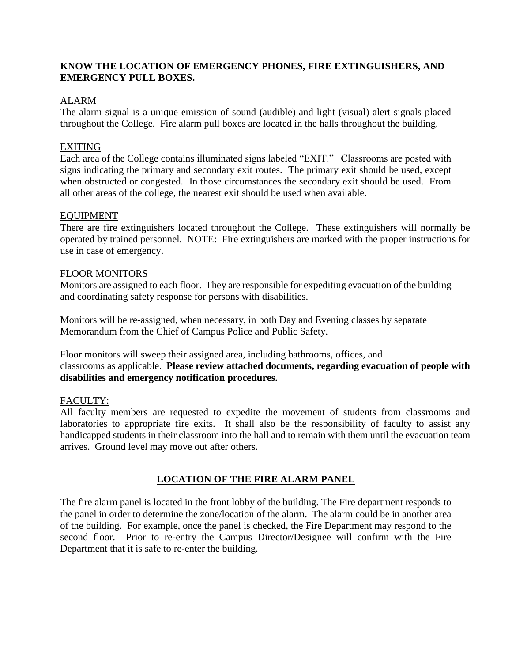## **KNOW THE LOCATION OF EMERGENCY PHONES, FIRE EXTINGUISHERS, AND EMERGENCY PULL BOXES.**

## ALARM

The alarm signal is a unique emission of sound (audible) and light (visual) alert signals placed throughout the College. Fire alarm pull boxes are located in the halls throughout the building.

### EXITING

Each area of the College contains illuminated signs labeled "EXIT." Classrooms are posted with signs indicating the primary and secondary exit routes. The primary exit should be used, except when obstructed or congested. In those circumstances the secondary exit should be used. From all other areas of the college, the nearest exit should be used when available.

### EQUIPMENT

There are fire extinguishers located throughout the College. These extinguishers will normally be operated by trained personnel. NOTE: Fire extinguishers are marked with the proper instructions for use in case of emergency.

#### FLOOR MONITORS

Monitors are assigned to each floor. They are responsible for expediting evacuation of the building and coordinating safety response for persons with disabilities.

Monitors will be re-assigned, when necessary, in both Day and Evening classes by separate Memorandum from the Chief of Campus Police and Public Safety.

Floor monitors will sweep their assigned area, including bathrooms, offices, and classrooms as applicable. **Please review attached documents, regarding evacuation of people with disabilities and emergency notification procedures.**

### FACULTY:

All faculty members are requested to expedite the movement of students from classrooms and laboratories to appropriate fire exits. It shall also be the responsibility of faculty to assist any handicapped students in their classroom into the hall and to remain with them until the evacuation team arrives. Ground level may move out after others.

### **LOCATION OF THE FIRE ALARM PANEL**

The fire alarm panel is located in the front lobby of the building. The Fire department responds to the panel in order to determine the zone/location of the alarm. The alarm could be in another area of the building. For example, once the panel is checked, the Fire Department may respond to the second floor. Prior to re-entry the Campus Director/Designee will confirm with the Fire Department that it is safe to re-enter the building.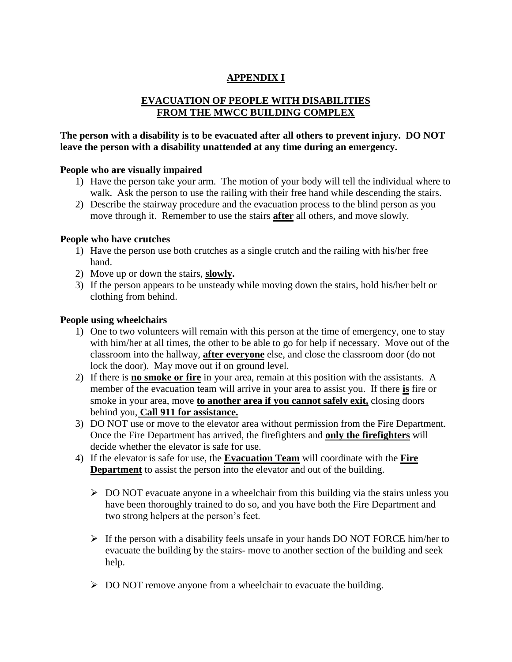# **APPENDIX I**

# **EVACUATION OF PEOPLE WITH DISABILITIES FROM THE MWCC BUILDING COMPLEX**

## **The person with a disability is to be evacuated after all others to prevent injury. DO NOT leave the person with a disability unattended at any time during an emergency.**

## **People who are visually impaired**

- 1) Have the person take your arm. The motion of your body will tell the individual where to walk. Ask the person to use the railing with their free hand while descending the stairs.
- 2) Describe the stairway procedure and the evacuation process to the blind person as you move through it. Remember to use the stairs **after** all others, and move slowly.

## **People who have crutches**

- 1) Have the person use both crutches as a single crutch and the railing with his/her free hand.
- 2) Move up or down the stairs, **slowly.**
- 3) If the person appears to be unsteady while moving down the stairs, hold his/her belt or clothing from behind.

## **People using wheelchairs**

- 1) One to two volunteers will remain with this person at the time of emergency, one to stay with him/her at all times, the other to be able to go for help if necessary. Move out of the classroom into the hallway, **after everyone** else, and close the classroom door (do not lock the door). May move out if on ground level.
- 2) If there is **no smoke or fire** in your area, remain at this position with the assistants. A member of the evacuation team will arrive in your area to assist you. If there **is** fire or smoke in your area, move **to another area if you cannot safely exit,** closing doors behind you, **Call 911 for assistance.**
- 3) DO NOT use or move to the elevator area without permission from the Fire Department. Once the Fire Department has arrived, the firefighters and **only the firefighters** will decide whether the elevator is safe for use.
- 4) If the elevator is safe for use, the **Evacuation Team** will coordinate with the **Fire Department** to assist the person into the elevator and out of the building.
	- $\triangleright$  DO NOT evacuate anyone in a wheelchair from this building via the stairs unless you have been thoroughly trained to do so, and you have both the Fire Department and two strong helpers at the person's feet.
	- $\triangleright$  If the person with a disability feels unsafe in your hands DO NOT FORCE him/her to evacuate the building by the stairs- move to another section of the building and seek help.
	- $\triangleright$  DO NOT remove anyone from a wheelchair to evacuate the building.